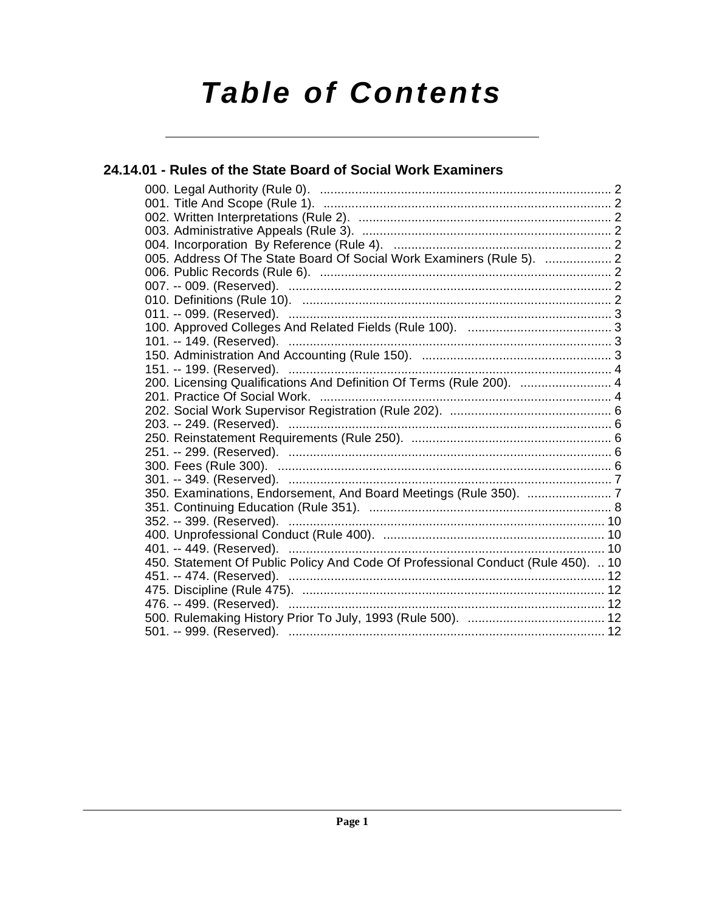# **Table of Contents**

# 24.14.01 - Rules of the State Board of Social Work Examiners 005. Address Of The State Board Of Social Work Examiners (Rule 5). ................... 2 450. Statement Of Public Policy And Code Of Professional Conduct (Rule 450). .. 10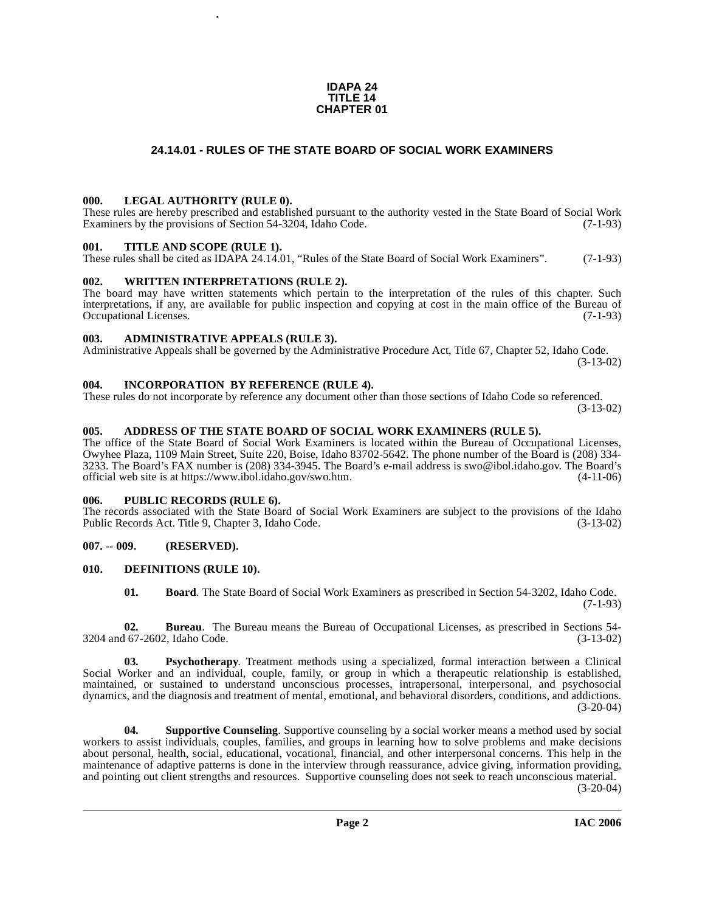#### **IDAPA 24 TITLE 14 CHAPTER 01**

# **24.14.01 - RULES OF THE STATE BOARD OF SOCIAL WORK EXAMINERS**

#### <span id="page-1-1"></span><span id="page-1-0"></span>**000. LEGAL AUTHORITY (RULE 0).**

These rules are hereby prescribed and established pursuant to the authority vested in the State Board of Social Work Examiners by the provisions of Section 54-3204, Idaho Code. (7-1-93)

#### <span id="page-1-2"></span>**001. TITLE AND SCOPE (RULE 1).**

These rules shall be cited as IDAPA 24.14.01, "Rules of the State Board of Social Work Examiners". (7-1-93)

### <span id="page-1-3"></span>**002. WRITTEN INTERPRETATIONS (RULE 2).**

**.**

The board may have written statements which pertain to the interpretation of the rules of this chapter. Such interpretations, if any, are available for public inspection and copying at cost in the main office of the Bureau of Occupational Licenses. (7-1-93) Occupational Licenses.

#### <span id="page-1-4"></span>**003. ADMINISTRATIVE APPEALS (RULE 3).**

Administrative Appeals shall be governed by the Administrative Procedure Act, Title 67, Chapter 52, Idaho Code. (3-13-02)

#### <span id="page-1-5"></span>**004. INCORPORATION BY REFERENCE (RULE 4).**

These rules do not incorporate by reference any document other than those sections of Idaho Code so referenced. (3-13-02)

### <span id="page-1-6"></span>**005. ADDRESS OF THE STATE BOARD OF SOCIAL WORK EXAMINERS (RULE 5).**

[The office of the State Board of Social Work Examiners is located within the Bureau of Occupational Licenses,](mailto:swo@ibol.idaho.gov)  Owyhee Plaza, 1109 Main Street, Suite 220, Boise, Idaho 83702-5642. The phone number of the Board is (208) 334- 3233. The Board's FAX number is (208) 334-3945. The Board's e-mail address is swo@ibol.idaho.gov. The Board's [official web site is at](mailto:swo@ibol.idaho.gov) [https://www.ibol.idaho.gov/swo.htm. \(4-11-06\)](https://www.ibol.idaho.gov/swo.htm)

#### <span id="page-1-7"></span>**006. PUBLIC RECORDS (RULE 6).**

The records associated with the State Board of Social Work Examiners are subject to the provisions of the Idaho Public Records Act. Title 9, Chapter 3, Idaho Code. (3-13-02)

# <span id="page-1-8"></span>**007. -- 009. (RESERVED).**

#### <span id="page-1-9"></span>**010. DEFINITIONS (RULE 10).**

<span id="page-1-10"></span>**01. Board**. The State Board of Social Work Examiners as prescribed in Section 54-3202, Idaho Code. (7-1-93)

**02. Bureau**. The Bureau means the Bureau of Occupational Licenses, as prescribed in Sections 54-<br>167-2602, Idaho Code. (3-13-02) 3204 and 67-2602, Idaho Code.

**03. Psychotherapy**. Treatment methods using a specialized, formal interaction between a Clinical Social Worker and an individual, couple, family, or group in which a therapeutic relationship is established, maintained, or sustained to understand unconscious processes, intrapersonal, interpersonal, and psychosocial dynamics, and the diagnosis and treatment of mental, emotional, and behavioral disorders, conditions, and addictions.  $(3-20-04)$ 

**04. Supportive Counseling**. Supportive counseling by a social worker means a method used by social workers to assist individuals, couples, families, and groups in learning how to solve problems and make decisions about personal, health, social, educational, vocational, financial, and other interpersonal concerns. This help in the maintenance of adaptive patterns is done in the interview through reassurance, advice giving, information providing, and pointing out client strengths and resources. Supportive counseling does not seek to reach unconscious material.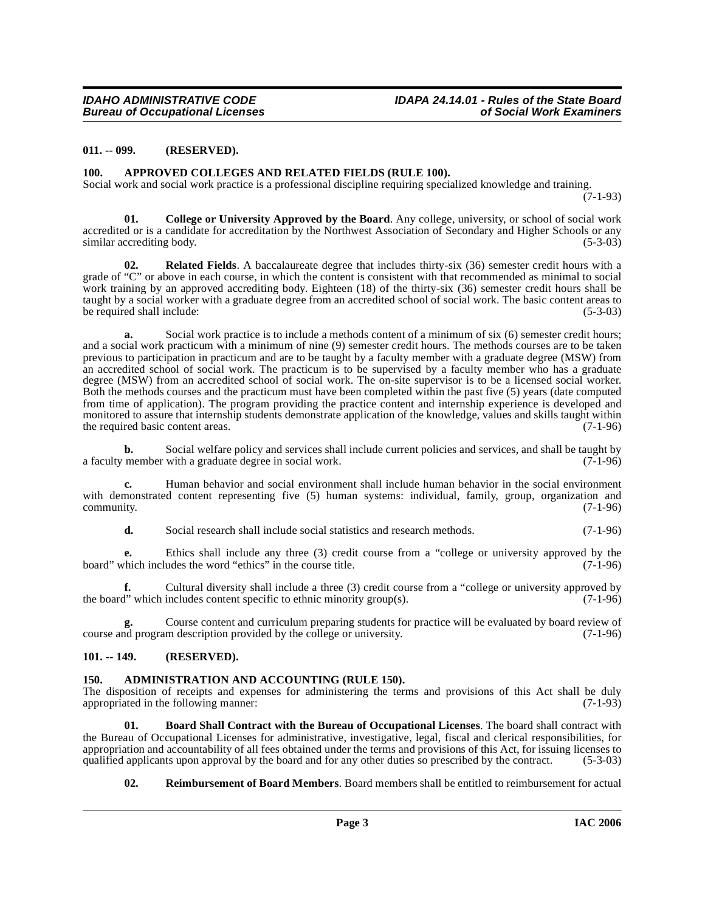#### <span id="page-2-0"></span>**011. -- 099. (RESERVED).**

#### <span id="page-2-5"></span><span id="page-2-1"></span>**100. APPROVED COLLEGES AND RELATED FIELDS (RULE 100).**

Social work and social work practice is a professional discipline requiring specialized knowledge and training.

(7-1-93)

<span id="page-2-7"></span>**01. College or University Approved by the Board**. Any college, university, or school of social work accredited or is a candidate for accreditation by the Northwest Association of Secondary and Higher Schools or any similar accrediting body. (5-3-03)

**02. Related Fields**. A baccalaureate degree that includes thirty-six (36) semester credit hours with a grade of "C" or above in each course, in which the content is consistent with that recommended as minimal to social work training by an approved accrediting body. Eighteen (18) of the thirty-six (36) semester credit hours shall be taught by a social worker with a graduate degree from an accredited school of social work. The basic content areas to be required shall include: (5-3-03)

**a.** Social work practice is to include a methods content of a minimum of six (6) semester credit hours; and a social work practicum with a minimum of nine (9) semester credit hours. The methods courses are to be taken previous to participation in practicum and are to be taught by a faculty member with a graduate degree (MSW) from an accredited school of social work. The practicum is to be supervised by a faculty member who has a graduate degree (MSW) from an accredited school of social work. The on-site supervisor is to be a licensed social worker. Both the methods courses and the practicum must have been completed within the past five (5) years (date computed from time of application). The program providing the practice content and internship experience is developed and monitored to assure that internship students demonstrate application of the knowledge, values and skills taught within<br>the required basic content areas. (7-1-96) the required basic content areas.

**b.** Social welfare policy and services shall include current policies and services, and shall be taught by a faculty member with a graduate degree in social work. (7-1-96)

**c.** Human behavior and social environment shall include human behavior in the social environment with demonstrated content representing five (5) human systems: individual, family, group, organization and community. (7-1-96) community. (7-1-96)

**d.** Social research shall include social statistics and research methods. (7-1-96)

**e.** Ethics shall include any three (3) credit course from a "college or university approved by the chich includes the word "ethics" in the course title. (7-1-96) board" which includes the word "ethics" in the course title.

**f.** Cultural diversity shall include a three (3) credit course from a "college or university approved by the board" which includes content specific to ethnic minority group(s).  $(7-1-96)$ 

Course content and curriculum preparing students for practice will be evaluated by board review of m description provided by the college or university. (7-1-96) course and program description provided by the college or university.

#### <span id="page-2-2"></span>**101. -- 149. (RESERVED).**

#### <span id="page-2-4"></span><span id="page-2-3"></span>**150. ADMINISTRATION AND ACCOUNTING (RULE 150).**

The disposition of receipts and expenses for administering the terms and provisions of this Act shall be duly appropriated in the following manner: appropriated in the following manner:

**01. Board Shall Contract with the Bureau of Occupational Licenses**. The board shall contract with the Bureau of Occupational Licenses for administrative, investigative, legal, fiscal and clerical responsibilities, for appropriation and accountability of all fees obtained under the terms and provisions of this Act, for issuing licenses to qualified applicants upon approval by the board and for any other duties so prescribed by the contra qualified applicants upon approval by the board and for any other duties so prescribed by the contract.

<span id="page-2-8"></span><span id="page-2-6"></span>**02. Reimbursement of Board Members**. Board members shall be entitled to reimbursement for actual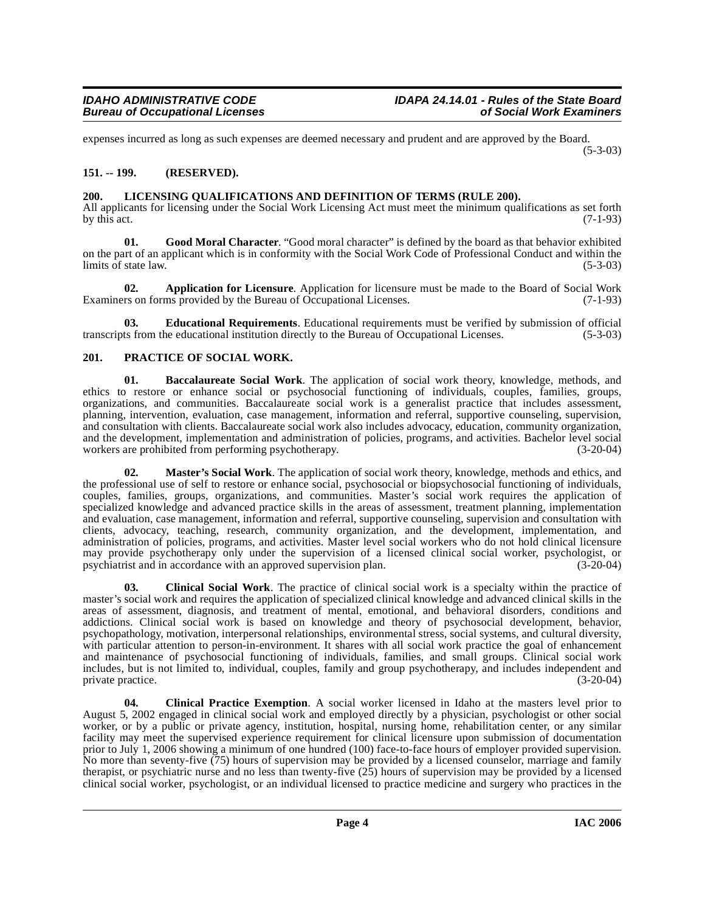expenses incurred as long as such expenses are deemed necessary and prudent and are approved by the Board. (5-3-03)

# <span id="page-3-0"></span>**151. -- 199. (RESERVED).**

# <span id="page-3-8"></span><span id="page-3-1"></span>**200. LICENSING QUALIFICATIONS AND DEFINITION OF TERMS (RULE 200).**

All applicants for licensing under the Social Work Licensing Act must meet the minimum qualifications as set forth by this act. (7-1-93) by this act.  $(7-1-93)$ 

<span id="page-3-7"></span>Good Moral Character. "Good moral character" is defined by the board as that behavior exhibited on the part of an applicant which is in conformity with the Social Work Code of Professional Conduct and within the limits of state law.

<span id="page-3-3"></span>**02. Application for Licensure**. Application for licensure must be made to the Board of Social Work Examiners on forms provided by the Bureau of Occupational Licenses. (7-1-93)

<span id="page-3-6"></span>**03. Educational Requirements**. Educational requirements must be verified by submission of official ts from the educational institution directly to the Bureau of Occupational Licenses. (5-3-03) transcripts from the educational institution directly to the Bureau of Occupational Licenses.

# <span id="page-3-10"></span><span id="page-3-2"></span>**201. PRACTICE OF SOCIAL WORK.**

<span id="page-3-4"></span>**01. Baccalaureate Social Work**. The application of social work theory, knowledge, methods, and ethics to restore or enhance social or psychosocial functioning of individuals, couples, families, groups, organizations, and communities. Baccalaureate social work is a generalist practice that includes assessment, planning, intervention, evaluation, case management, information and referral, supportive counseling, supervision, and consultation with clients. Baccalaureate social work also includes advocacy, education, community organization, and the development, implementation and administration of policies, programs, and activities. Bachelor level social<br>workers are prohibited from performing psychotherapy. (3-20-04) workers are prohibited from performing psychotherapy.

<span id="page-3-9"></span>**02. Master's Social Work**. The application of social work theory, knowledge, methods and ethics, and the professional use of self to restore or enhance social, psychosocial or biopsychosocial functioning of individuals, couples, families, groups, organizations, and communities. Master's social work requires the application of specialized knowledge and advanced practice skills in the areas of assessment, treatment planning, implementation and evaluation, case management, information and referral, supportive counseling, supervision and consultation with clients, advocacy, teaching, research, community organization, and the development, implementation, and administration of policies, programs, and activities. Master level social workers who do not hold clinical licensure may provide psychotherapy only under the supervision of a licensed clinical social worker, psychologist, or psychiatrist and in accordance with an approved supervision plan. (3-20-04)

<span id="page-3-5"></span>**03. Clinical Social Work**. The practice of clinical social work is a specialty within the practice of master's social work and requires the application of specialized clinical knowledge and advanced clinical skills in the areas of assessment, diagnosis, and treatment of mental, emotional, and behavioral disorders, conditions and addictions. Clinical social work is based on knowledge and theory of psychosocial development, behavior, psychopathology, motivation, interpersonal relationships, environmental stress, social systems, and cultural diversity, with particular attention to person-in-environment. It shares with all social work practice the goal of enhancement and maintenance of psychosocial functioning of individuals, families, and small groups. Clinical social work includes, but is not limited to, individual, couples, family and group psychotherapy, and includes independent and private practice. (3-20-04)

**04. Clinical Practice Exemption**. A social worker licensed in Idaho at the masters level prior to August 5, 2002 engaged in clinical social work and employed directly by a physician, psychologist or other social worker, or by a public or private agency, institution, hospital, nursing home, rehabilitation center, or any similar facility may meet the supervised experience requirement for clinical licensure upon submission of documentation prior to July 1, 2006 showing a minimum of one hundred (100) face-to-face hours of employer provided supervision. No more than seventy-five (75) hours of supervision may be provided by a licensed counselor, marriage and family therapist, or psychiatric nurse and no less than twenty-five (25) hours of supervision may be provided by a licensed clinical social worker, psychologist, or an individual licensed to practice medicine and surgery who practices in the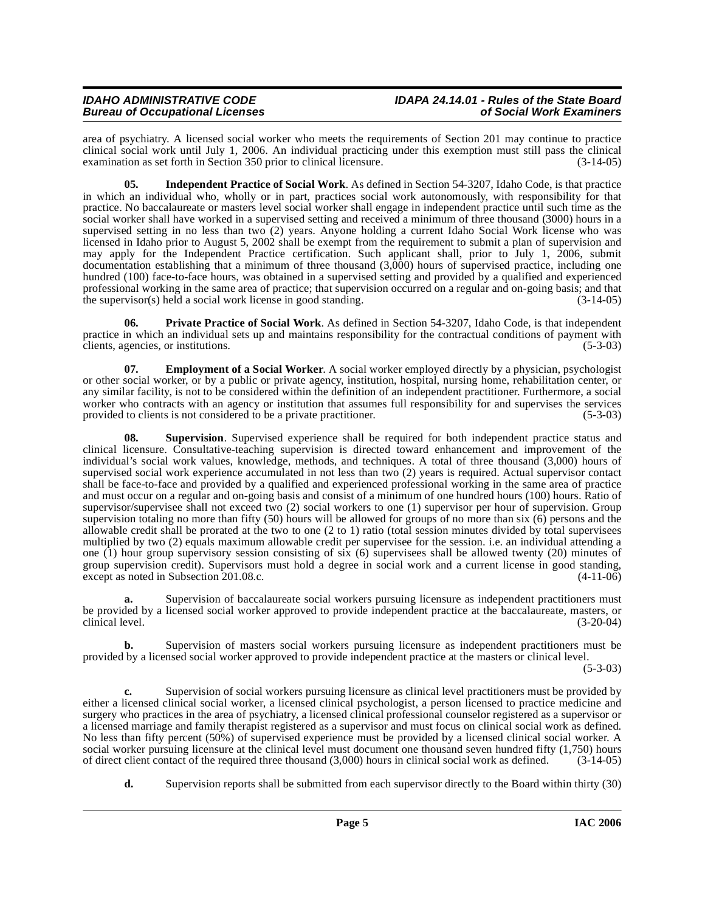area of psychiatry. A licensed social worker who meets the requirements of Section 201 may continue to practice clinical social work until July 1, 2006. An individual practicing under this exemption must still pass the clinical examination as set forth in Section 350 prior to clinical licensure. (3-14-05)

**05. Independent Practice of Social Work**. As defined in Section 54-3207, Idaho Code, is that practice in which an individual who, wholly or in part, practices social work autonomously, with responsibility for that practice. No baccalaureate or masters level social worker shall engage in independent practice until such time as the social worker shall have worked in a supervised setting and received a minimum of three thousand (3000) hours in a supervised setting in no less than two (2) years. Anyone holding a current Idaho Social Work license who was licensed in Idaho prior to August 5, 2002 shall be exempt from the requirement to submit a plan of supervision and may apply for the Independent Practice certification. Such applicant shall, prior to July 1, 2006, submit documentation establishing that a minimum of three thousand (3,000) hours of supervised practice, including one hundred (100) face-to-face hours, was obtained in a supervised setting and provided by a qualified and experienced professional working in the same area of practice; that supervision occurred on a regular and on-going basis; and that the supervisor(s) held a social work license in good standing. (3-14-05)

<span id="page-4-1"></span>**06. Private Practice of Social Work**. As defined in Section 54-3207, Idaho Code, is that independent practice in which an individual sets up and maintains responsibility for the contractual conditions of payment with clients, agencies, or institutions. (5-3-03)

<span id="page-4-0"></span>**07.** Employment of a Social Worker. A social worker employed directly by a physician, psychologist or other social worker, or by a public or private agency, institution, hospital, nursing home, rehabilitation center, or any similar facility, is not to be considered within the definition of an independent practitioner. Furthermore, a social worker who contracts with an agency or institution that assumes full responsibility for and supervises the services provided to clients is not considered to be a private practitioner. (5-3-03)

<span id="page-4-2"></span>**08. Supervision**. Supervised experience shall be required for both independent practice status and clinical licensure. Consultative-teaching supervision is directed toward enhancement and improvement of the individual's social work values, knowledge, methods, and techniques. A total of three thousand (3,000) hours of supervised social work experience accumulated in not less than two (2) years is required. Actual supervisor contact shall be face-to-face and provided by a qualified and experienced professional working in the same area of practice and must occur on a regular and on-going basis and consist of a minimum of one hundred hours (100) hours. Ratio of supervisor/supervisee shall not exceed two (2) social workers to one (1) supervisor per hour of supervision. Group supervision totaling no more than fifty (50) hours will be allowed for groups of no more than six (6) persons and the allowable credit shall be prorated at the two to one (2 to 1) ratio (total session minutes divided by total supervisees multiplied by two (2) equals maximum allowable credit per supervisee for the session. i.e. an individual attending a one (1) hour group supervisory session consisting of six (6) supervisees shall be allowed twenty (20) minutes of group supervision credit). Supervisors must hold a degree in social work and a current license in good standing, except as noted in Subsection 201.08.c. (4-11-06)

**a.** Supervision of baccalaureate social workers pursuing licensure as independent practitioners must be provided by a licensed social worker approved to provide independent practice at the baccalaureate, masters, or clinical level. (3-20-04)

**b.** Supervision of masters social workers pursuing licensure as independent practitioners must be provided by a licensed social worker approved to provide independent practice at the masters or clinical level.

 $(5-3-03)$ 

**c.** Supervision of social workers pursuing licensure as clinical level practitioners must be provided by either a licensed clinical social worker, a licensed clinical psychologist, a person licensed to practice medicine and surgery who practices in the area of psychiatry, a licensed clinical professional counselor registered as a supervisor or a licensed marriage and family therapist registered as a supervisor and must focus on clinical social work as defined. No less than fifty percent (50%) of supervised experience must be provided by a licensed clinical social worker. A social worker pursuing licensure at the clinical level must document one thousand seven hundred fifty  $(1,750)$  hours of direct client contact of the required three thousand  $(3,000)$  hours in clinical social work as defi of direct client contact of the required three thousand  $(3,000)$  hours in clinical social work as defined.

**d.** Supervision reports shall be submitted from each supervisor directly to the Board within thirty (30)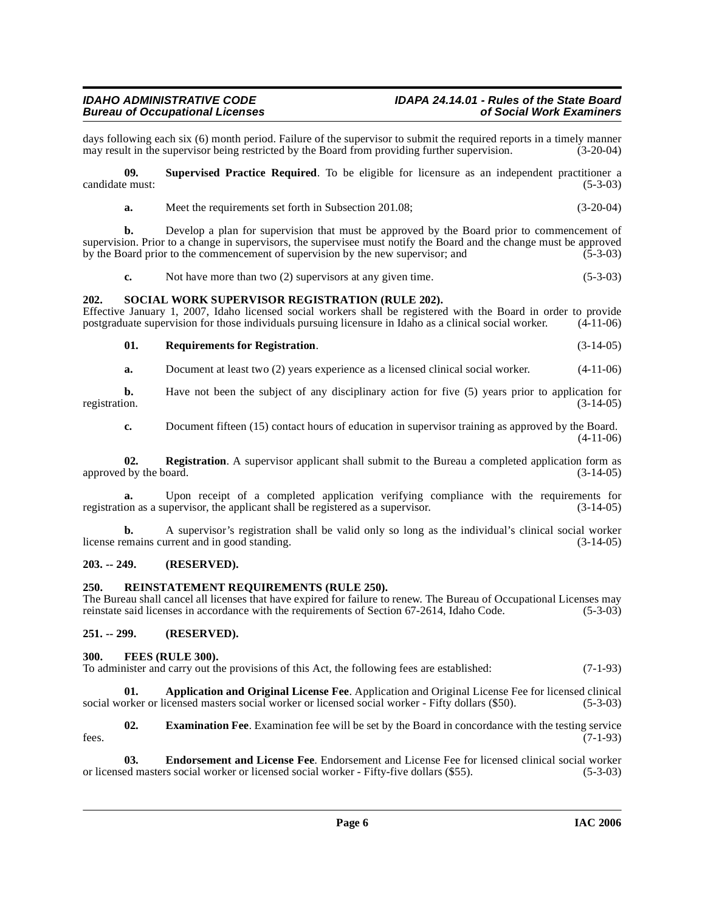days following each six (6) month period. Failure of the supervisor to submit the required reports in a timely manner<br>may result in the supervisor being restricted by the Board from providing further supervision. (3-20-04) may result in the supervisor being restricted by the Board from providing further supervision.

**09. Supervised Practice Required**. To be eligible for licensure as an independent practitioner a candidate must: (5-3-03)

| $(3-20-04)$<br>Meet the requirements set forth in Subsection 201.08; |  |
|----------------------------------------------------------------------|--|
|----------------------------------------------------------------------|--|

**b.** Develop a plan for supervision that must be approved by the Board prior to commencement of supervision. Prior to a change in supervisors, the supervisee must notify the Board and the change must be approved by the Board prior to the commencement of supervision by the new supervisor; and  $(5-3-03)$ 

<span id="page-5-12"></span>**c.** Not have more than two (2) supervisors at any given time. (5-3-03)

#### <span id="page-5-0"></span>**202. SOCIAL WORK SUPERVISOR REGISTRATION (RULE 202).**

Effective January 1, 2007, Idaho licensed social workers shall be registered with the Board in order to provide postgraduate supervision for those individuals pursuing licensure in Idaho as a clinical social worker. (4-11postgraduate supervision for those individuals pursuing licensure in Idaho as a clinical social worker.

<span id="page-5-11"></span>**01. Requirements for Registration**. (3-14-05)

**a.** Document at least two (2) years experience as a licensed clinical social worker.  $(4-11-06)$ 

**b.** Have not been the subject of any disciplinary action for five (5) years prior to application for registration.  $(3-14-05)$ registration. (3-14-05)

<span id="page-5-9"></span>**c.** Document fifteen (15) contact hours of education in supervisor training as approved by the Board. (4-11-06)

**02.** Registration. A supervisor applicant shall submit to the Bureau a completed application form as 1 by the board. (3-14-05) approved by the board.

**a.** Upon receipt of a completed application verifying compliance with the requirements for on as a supervisor, the applicant shall be registered as a supervisor.  $(3-14-05)$ registration as a supervisor, the applicant shall be registered as a supervisor.

**b.** A supervisor's registration shall be valid only so long as the individual's clinical social worker emains current and in good standing. license remains current and in good standing.

#### <span id="page-5-1"></span>**203. -- 249. (RESERVED).**

#### <span id="page-5-10"></span><span id="page-5-2"></span>**250. REINSTATEMENT REQUIREMENTS (RULE 250).**

The Bureau shall cancel all licenses that have expired for failure to renew. The Bureau of Occupational Licenses may reinstate said licenses in accordance with the requirements of Section 67-2614, Idaho Code. (5-3-03)

# <span id="page-5-3"></span>**251. -- 299. (RESERVED).**

#### <span id="page-5-8"></span><span id="page-5-4"></span>**300. FEES (RULE 300).**

<span id="page-5-5"></span>To administer and carry out the provisions of this Act, the following fees are established: (7-1-93)

**01. Application and Original License Fee**. Application and Original License Fee for licensed clinical pricensed masters social worker or licensed social worker - Fifty dollars (\$50). (5-3-03) social worker or licensed masters social worker or licensed social worker - Fifty dollars (\$50).

<span id="page-5-7"></span>**02. Examination Fee**. Examination fee will be set by the Board in concordance with the testing service fees.  $(7-1-93)$ 

<span id="page-5-6"></span>**03. Endorsement and License Fee**. Endorsement and License Fee for licensed clinical social worker ed masters social worker or licensed social worker - Fifty-five dollars (\$55). (5-3-03) or licensed masters social worker or licensed social worker - Fifty-five dollars (\$55).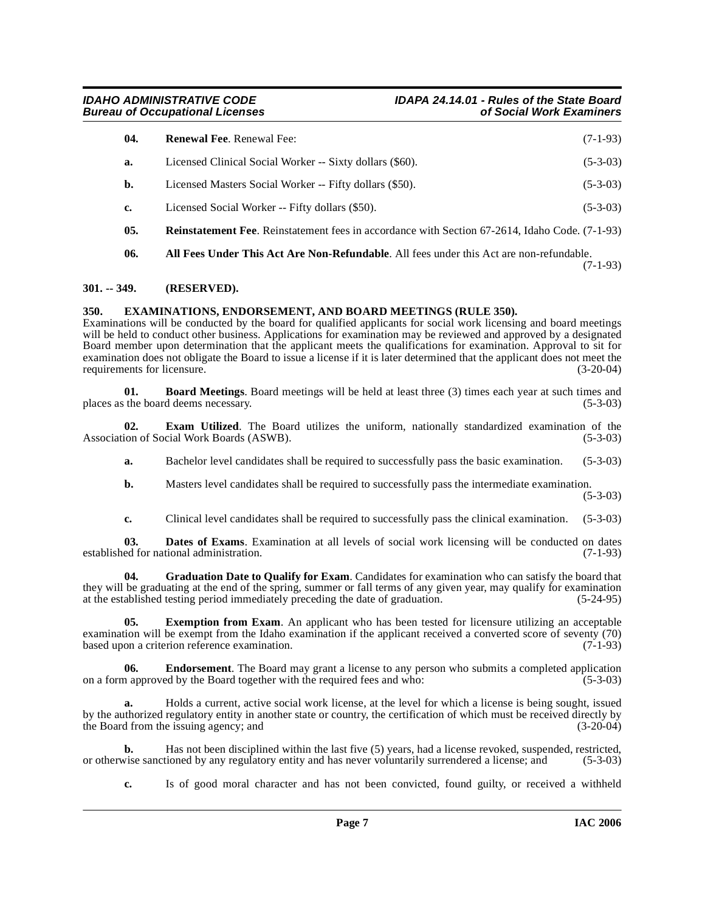<span id="page-6-11"></span>

| 04. | <b>Renewal Fee. Renewal Fee:</b>                                                                       | $(7-1-93)$ |
|-----|--------------------------------------------------------------------------------------------------------|------------|
| a.  | Licensed Clinical Social Worker -- Sixty dollars (\$60).                                               | $(5-3-03)$ |
| b.  | Licensed Masters Social Worker -- Fifty dollars (\$50).                                                | $(5-3-03)$ |
| c.  | Licensed Social Worker -- Fifty dollars (\$50).                                                        | $(5-3-03)$ |
| 05. | <b>Reinstatement Fee</b> . Reinstatement fees in accordance with Section 67-2614, Idaho Code. (7-1-93) |            |

<span id="page-6-10"></span><span id="page-6-2"></span>**06. All Fees Under This Act Are Non-Refundable**. All fees under this Act are non-refundable.

(7-1-93)

# <span id="page-6-0"></span>**301. -- 349. (RESERVED).**

# <span id="page-6-7"></span><span id="page-6-1"></span>**350. EXAMINATIONS, ENDORSEMENT, AND BOARD MEETINGS (RULE 350).**

Examinations will be conducted by the board for qualified applicants for social work licensing and board meetings will be held to conduct other business. Applications for examination may be reviewed and approved by a designated Board member upon determination that the applicant meets the qualifications for examination. Approval to sit for examination does not obligate the Board to issue a license if it is later determined that the applicant does not meet the requirements for licensure. (3-20-04) requirements for licensure.

<span id="page-6-3"></span>**01. Board Meetings**. Board meetings will be held at least three (3) times each year at such times and places as the board deems necessary. (5-3-03)

**02. Exam Utilized**. The Board utilizes the uniform, nationally standardized examination of the ion of Social Work Boards (ASWB). (5-3-03) Association of Social Work Boards (ASWB).

<span id="page-6-6"></span>**a.** Bachelor level candidates shall be required to successfully pass the basic examination. (5-3-03)

**b.** Masters level candidates shall be required to successfully pass the intermediate examination. (5-3-03)

<span id="page-6-9"></span><span id="page-6-4"></span>**c.** Clinical level candidates shall be required to successfully pass the clinical examination. (5-3-03)

**03. Dates of Exams**. Examination at all levels of social work licensing will be conducted on dates ed for national administration. (7-1-93) established for national administration.

**04. Graduation Date to Qualify for Exam**. Candidates for examination who can satisfy the board that they will be graduating at the end of the spring, summer or fall terms of any given year, may qualify for examination at the established testing period immediately preceding the date of graduation. (5-24-95)

<span id="page-6-8"></span>**05.** Exemption from Exam. An applicant who has been tested for licensure utilizing an acceptable examination will be exempt from the Idaho examination if the applicant received a converted score of seventy (70) based upon a criterion reference examination. (7-1-93) based upon a criterion reference examination.

<span id="page-6-5"></span>**06. Endorsement**. The Board may grant a license to any person who submits a completed application on a form approved by the Board together with the required fees and who: (5-3-03)

**a.** Holds a current, active social work license, at the level for which a license is being sought, issued by the authorized regulatory entity in another state or country, the certification of which must be received directly by the Board from the issuing agency; and (3-20-04)

**b.** Has not been disciplined within the last five (5) years, had a license revoked, suspended, restricted, vise sanctioned by any regulatory entity and has never voluntarily surrendered a license; and (5-3-03) or otherwise sanctioned by any regulatory entity and has never voluntarily surrendered a license; and

**c.** Is of good moral character and has not been convicted, found guilty, or received a withheld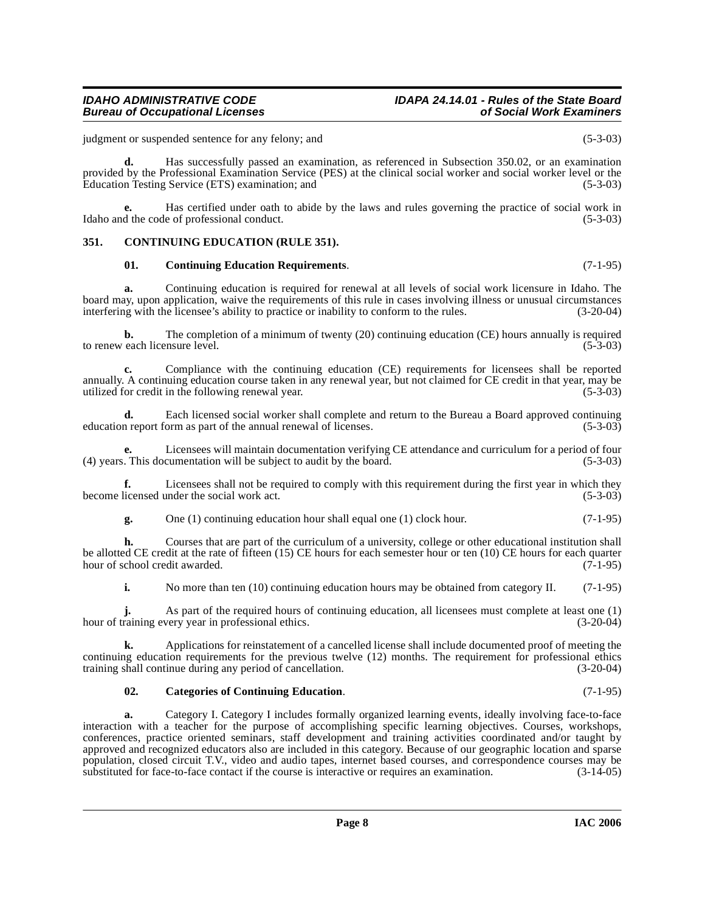**d.** Has successfully passed an examination, as referenced in Subsection 350.02, or an examination provided by the Professional Examination Service (PES) at the clinical social worker and social worker level or the Education Testing Service (ETS) examination; and (5-3-03)

**e.** Has certified under oath to abide by the laws and rules governing the practice of social work in Idaho and the code of professional conduct. (5-3-03)

# <span id="page-7-0"></span>**351. CONTINUING EDUCATION (RULE 351).**

#### <span id="page-7-3"></span><span id="page-7-2"></span>**01. Continuing Education Requirements**. (7-1-95)

**a.** Continuing education is required for renewal at all levels of social work licensure in Idaho. The board may, upon application, waive the requirements of this rule in cases involving illness or unusual circumstances interfering with the licensee's ability to practice or inability to conform to the rules. (3-20-04)

**b.** The completion of a minimum of twenty (20) continuing education (CE) hours annually is required to renew each licensure level. (5-3-03)

**c.** Compliance with the continuing education (CE) requirements for licensees shall be reported annually. A continuing education course taken in any renewal year, but not claimed for CE credit in that year, may be utilized for credit in the following renewal year. utilized for credit in the following renewal year.

**d.** Each licensed social worker shall complete and return to the Bureau a Board approved continuing n report form as part of the annual renewal of licenses. (5-3-03) education report form as part of the annual renewal of licenses.

**e.** Licensees will maintain documentation verifying CE attendance and curriculum for a period of four (4) years. This documentation will be subject to audit by the board. (5-3-03)

**f.** Licensees shall not be required to comply with this requirement during the first year in which they become licensed under the social work act. (5-3-03)

**g.** One (1) continuing education hour shall equal one (1) clock hour. (7-1-95)

**h.** Courses that are part of the curriculum of a university, college or other educational institution shall be allotted CE credit at the rate of fifteen (15) CE hours for each semester hour or ten (10) CE hours for each quarter hour of school credit awarded. (7-1-95)

**i.** No more than ten (10) continuing education hours may be obtained from category II. (7-1-95)

**j.** As part of the required hours of continuing education, all licensees must complete at least one (1) hour of training every year in professional ethics. (3-20-04)

**k.** Applications for reinstatement of a cancelled license shall include documented proof of meeting the continuing education requirements for the previous twelve (12) months. The requirement for professional ethics training shall continue during any period of cancellation. (3-20-04)

#### <span id="page-7-1"></span>**02. Categories of Continuing Education**. (7-1-95)

**a.** Category I. Category I includes formally organized learning events, ideally involving face-to-face interaction with a teacher for the purpose of accomplishing specific learning objectives. Courses, workshops, conferences, practice oriented seminars, staff development and training activities coordinated and/or taught by approved and recognized educators also are included in this category. Because of our geographic location and sparse population, closed circuit T.V., video and audio tapes, internet based courses, and correspondence courses may be substituted for face-to-face contact if the course is interactive or requires an examination. (3-14-05) substituted for face-to-face contact if the course is interactive or requires an examination.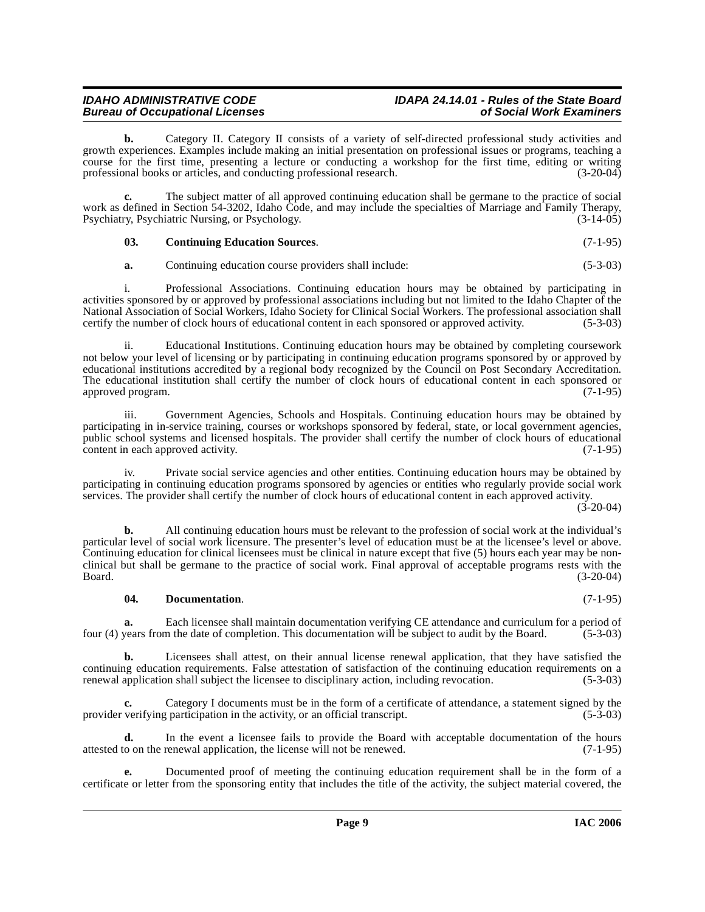# **IDAHO ADMINISTRATIVE CODE IDAPA 24.14.01 - Rules of the State Board Bureau of Occupational Licenses**

**b.** Category II. Category II consists of a variety of self-directed professional study activities and growth experiences. Examples include making an initial presentation on professional issues or programs, teaching a course for the first time, presenting a lecture or conducting a workshop for the first time, editing or writing professional books or articles, and conducting professional research. (3-20-04) professional books or articles, and conducting professional research.

**c.** The subject matter of all approved continuing education shall be germane to the practice of social work as defined in Section 54-3202, Idaho Code, and may include the specialties of Marriage and Family Therapy,<br>Psychiatry, Psychiatric Nursing, or Psychology. (3-14-05) Psychiatry, Psychiatric Nursing, or Psychology.

<span id="page-8-0"></span>**03. Continuing Education Sources**. (7-1-95)

**a.** Continuing education course providers shall include: (5-3-03)

i. Professional Associations. Continuing education hours may be obtained by participating in activities sponsored by or approved by professional associations including but not limited to the Idaho Chapter of the National Association of Social Workers, Idaho Society for Clinical Social Workers. The professional association shall certify the number of clock hours of educational content in each sponsored or approved activity. (5-3-03 certify the number of clock hours of educational content in each sponsored or approved activity.

ii. Educational Institutions. Continuing education hours may be obtained by completing coursework not below your level of licensing or by participating in continuing education programs sponsored by or approved by educational institutions accredited by a regional body recognized by the Council on Post Secondary Accreditation. The educational institution shall certify the number of clock hours of educational content in each sponsored or approved program. (7-1-95) approved program.

iii. Government Agencies, Schools and Hospitals. Continuing education hours may be obtained by participating in in-service training, courses or workshops sponsored by federal, state, or local government agencies, public school systems and licensed hospitals. The provider shall certify the number of clock hours of educational content in each approved activity. (7-1-95) content in each approved activity.

iv. Private social service agencies and other entities. Continuing education hours may be obtained by participating in continuing education programs sponsored by agencies or entities who regularly provide social work services. The provider shall certify the number of clock hours of educational content in each approved activity.

(3-20-04)

**b.** All continuing education hours must be relevant to the profession of social work at the individual's particular level of social work licensure. The presenter's level of education must be at the licensee's level or above. Continuing education for clinical licensees must be clinical in nature except that five (5) hours each year may be nonclinical but shall be germane to the practice of social work. Final approval of acceptable programs rests with the Board. (3-20-04)

#### <span id="page-8-1"></span>**04. Documentation**. (7-1-95)

**a.** Each licensee shall maintain documentation verifying CE attendance and curriculum for a period of years from the date of completion. This documentation will be subject to audit by the Board. (5-3-03) four (4) years from the date of completion. This documentation will be subject to audit by the Board.

**b.** Licensees shall attest, on their annual license renewal application, that they have satisfied the continuing education requirements. False attestation of satisfaction of the continuing education requirements on a renewal application shall subject the licensee to disciplinary action, including revocation. (5-3-03)

**c.** Category I documents must be in the form of a certificate of attendance, a statement signed by the verifying participation in the activity, or an official transcript. (5-3-03) provider verifying participation in the activity, or an official transcript.

**d.** In the event a licensee fails to provide the Board with acceptable documentation of the hours to on the renewal application, the license will not be renewed. (7-1-95) attested to on the renewal application, the license will not be renewed.

**e.** Documented proof of meeting the continuing education requirement shall be in the form of a certificate or letter from the sponsoring entity that includes the title of the activity, the subject material covered, the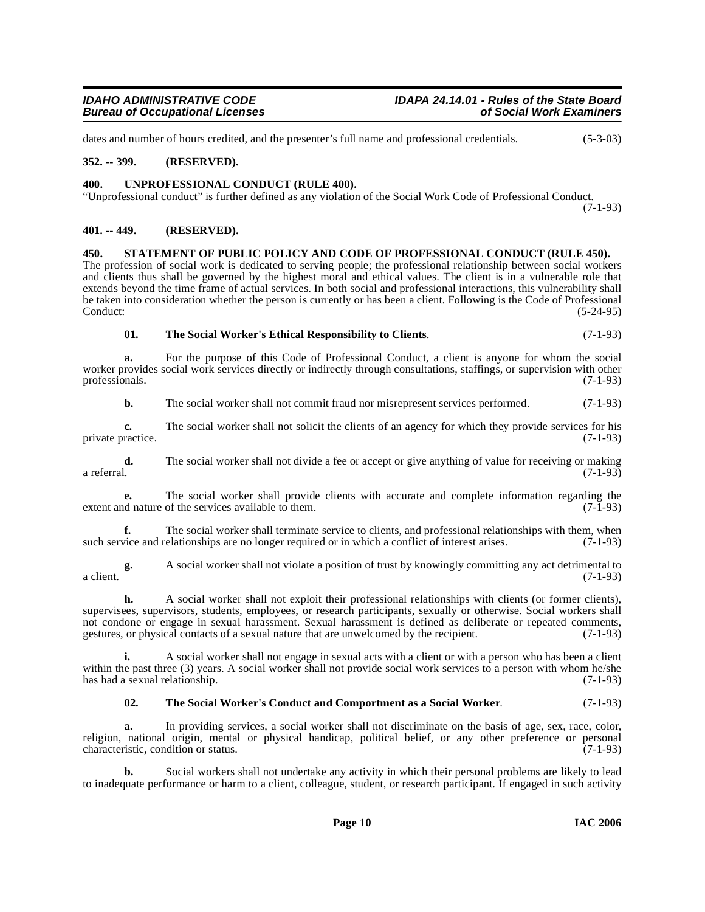dates and number of hours credited, and the presenter's full name and professional credentials. (5-3-03)

# <span id="page-9-0"></span>**352. -- 399. (RESERVED).**

#### <span id="page-9-7"></span><span id="page-9-1"></span>**400. UNPROFESSIONAL CONDUCT (RULE 400).**

"Unprofessional conduct" is further defined as any violation of the Social Work Code of Professional Conduct. (7-1-93)

#### <span id="page-9-2"></span>**401. -- 449. (RESERVED).**

<span id="page-9-4"></span><span id="page-9-3"></span>**450. STATEMENT OF PUBLIC POLICY AND CODE OF PROFESSIONAL CONDUCT (RULE 450).** The profession of social work is dedicated to serving people; the professional relationship between social workers and clients thus shall be governed by the highest moral and ethical values. The client is in a vulnerable role that extends beyond the time frame of actual services. In both social and professional interactions, this vulnerability shall be taken into consideration whether the person is currently or has been a client. Following is the Code of Professional Conduct: (5-24-95)

<span id="page-9-6"></span>

| 01. | The Social Worker's Ethical Responsibility to Clients. | $(7-1-93)$ |
|-----|--------------------------------------------------------|------------|
|     |                                                        |            |

**a.** For the purpose of this Code of Professional Conduct, a client is anyone for whom the social worker provides social work services directly or indirectly through consultations, staffings, or supervision with other professionals. (7-1-93) professionals.

**b.** The social worker shall not commit fraud nor misrepresent services performed.  $(7-1-93)$ 

**c.** The social worker shall not solicit the clients of an agency for which they provide services for his ractice. (7-1-93) private practice.

**d.** The social worker shall not divide a fee or accept or give anything of value for receiving or making a referral. (7-1-93) a referral. (7-1-93)

**e.** The social worker shall provide clients with accurate and complete information regarding the description of the services available to them.  $(7-1-93)$ extent and nature of the services available to them.

**f.** The social worker shall terminate service to clients, and professional relationships with them, when vice and relationships are no longer required or in which a conflict of interest arises. (7-1-93) such service and relationships are no longer required or in which a conflict of interest arises.

**g.** A social worker shall not violate a position of trust by knowingly committing any act detrimental to a client.  $(7-1-93)$ 

**h.** A social worker shall not exploit their professional relationships with clients (or former clients), supervisees, supervisors, students, employees, or research participants, sexually or otherwise. Social workers shall not condone or engage in sexual harassment. Sexual harassment is defined as deliberate or repeated comments, gestures, or physical contacts of a sexual nature that are unwelcomed by the recipient. (7-1-93) gestures, or physical contacts of a sexual nature that are unwelcomed by the recipient.

**i.** A social worker shall not engage in sexual acts with a client or with a person who has been a client within the past three (3) years. A social worker shall not provide social work services to a person with whom he/she has had a sexual relationship. (7-1-93)

# <span id="page-9-5"></span>**02. The Social Worker's Conduct and Comportment as a Social Worker**. (7-1-93)

**a.** In providing services, a social worker shall not discriminate on the basis of age, sex, race, color, religion, national origin, mental or physical handicap, political belief, or any other preference or personal characteristic, condition or status. (7-1-93) characteristic, condition or status.

**b.** Social workers shall not undertake any activity in which their personal problems are likely to lead to inadequate performance or harm to a client, colleague, student, or research participant. If engaged in such activity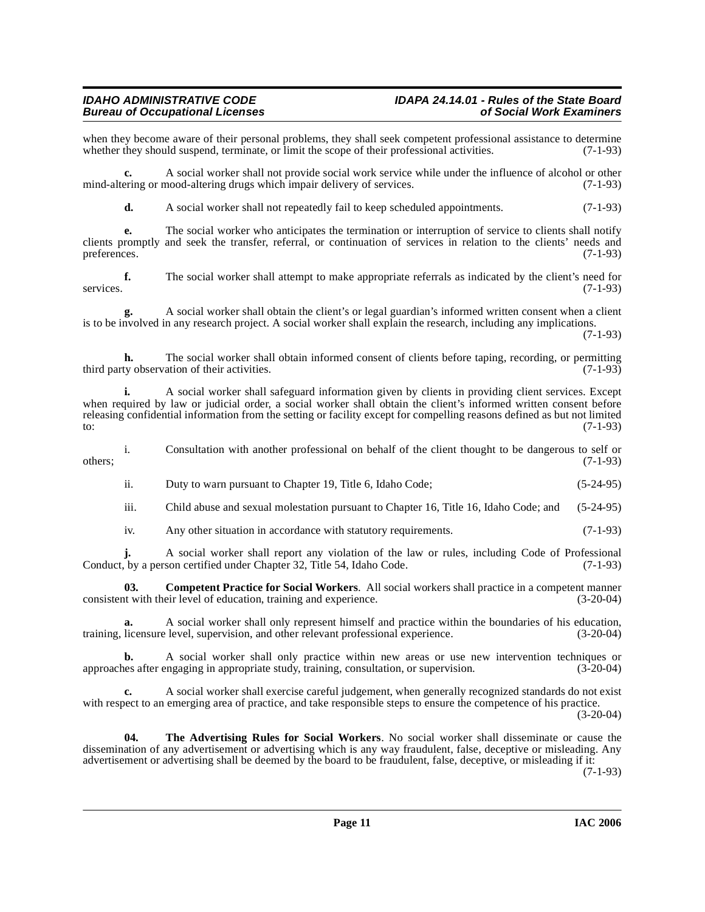when they become aware of their personal problems, they shall seek competent professional assistance to determine<br>whether they should suspend, terminate, or limit the scope of their professional activities. (7-1-93) whether they should suspend, terminate, or limit the scope of their professional activities.

**c.** A social worker shall not provide social work service while under the influence of alcohol or other mind-altering or mood-altering drugs which impair delivery of services. (7-1-93)

**d.** A social worker shall not repeatedly fail to keep scheduled appointments. (7-1-93)

**e.** The social worker who anticipates the termination or interruption of service to clients shall notify clients promptly and seek the transfer, referral, or continuation of services in relation to the clients' needs and preferences. (7-1-93)

**f.** The social worker shall attempt to make appropriate referrals as indicated by the client's need for services. (7-1-93)

**g.** A social worker shall obtain the client's or legal guardian's informed written consent when a client is to be involved in any research project. A social worker shall explain the research, including any implications.

(7-1-93)

**h.** The social worker shall obtain informed consent of clients before taping, recording, or permitting ty observation of their activities. (7-1-93) third party observation of their activities.

**i.** A social worker shall safeguard information given by clients in providing client services. Except when required by law or judicial order, a social worker shall obtain the client's informed written consent before releasing confidential information from the setting or facility except for compelling reasons defined as but not limited<br>to: (7-1-93) to:  $(7-1-93)$ 

i. Consultation with another professional on behalf of the client thought to be dangerous to self or  $\omega$  others;  $(7-1-93)$ 

ii. Duty to warn pursuant to Chapter 19, Title 6, Idaho Code; (5-24-95)

iii. Child abuse and sexual molestation pursuant to Chapter 16, Title 16, Idaho Code; and (5-24-95)

iv. Any other situation in accordance with statutory requirements. (7-1-93)

**j.** A social worker shall report any violation of the law or rules, including Code of Professional Conduct, by a person certified under Chapter 32, Title 54, Idaho Code. (7-1-93)

**03. Competent Practice for Social Workers**. All social workers shall practice in a competent manner consistent with their level of education, training and experience. (3-20-04)

**a.** A social worker shall only represent himself and practice within the boundaries of his education, licensure level, supervision, and other relevant professional experience. (3-20-04) training, licensure level, supervision, and other relevant professional experience.

**b.** A social worker shall only practice within new areas or use new intervention techniques or approaches after engaging in appropriate study, training, consultation, or supervision. (3-20-04)

**c.** A social worker shall exercise careful judgement, when generally recognized standards do not exist with respect to an emerging area of practice, and take responsible steps to ensure the competence of his practice.

(3-20-04)

<span id="page-10-0"></span>**04. The Advertising Rules for Social Workers**. No social worker shall disseminate or cause the dissemination of any advertisement or advertising which is any way fraudulent, false, deceptive or misleading. Any advertisement or advertising shall be deemed by the board to be fraudulent, false, deceptive, or misleading if it: (7-1-93)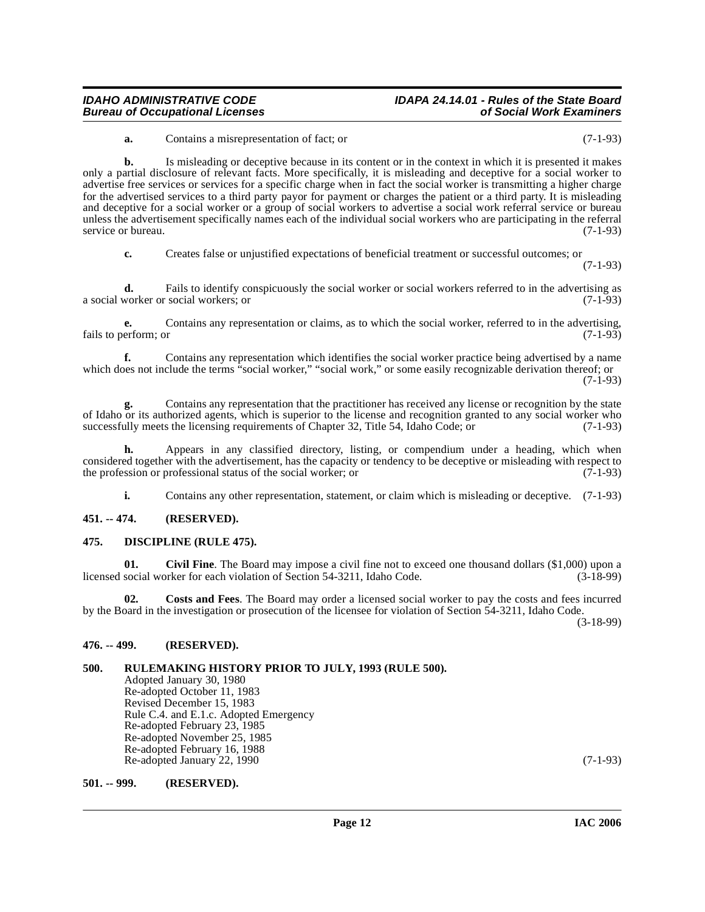# **IDAHO ADMINISTRATIVE CODE IDAPA 24.14.01 - Rules of the State Board**

**a.** Contains a misrepresentation of fact; or (7-1-93)

**b.** Is misleading or deceptive because in its content or in the context in which it is presented it makes only a partial disclosure of relevant facts. More specifically, it is misleading and deceptive for a social worker to advertise free services or services for a specific charge when in fact the social worker is transmitting a higher charge for the advertised services to a third party payor for payment or charges the patient or a third party. It is misleading and deceptive for a social worker or a group of social workers to advertise a social work referral service or bureau unless the advertisement specifically names each of the individual social workers who are participating in the referral service or bureau. (7-1-93)

**c.** Creates false or unjustified expectations of beneficial treatment or successful outcomes; or

(7-1-93)

**d.** Fails to identify conspicuously the social worker or social workers referred to in the advertising as a social worker or social workers; or (7-1-93)

**e.** Contains any representation or claims, as to which the social worker, referred to in the advertising, erform; or  $(7-1-93)$ fails to perform; or

**f.** Contains any representation which identifies the social worker practice being advertised by a name which does not include the terms "social worker," "social work," or some easily recognizable derivation thereof; or (7-1-93)

**g.** Contains any representation that the practitioner has received any license or recognition by the state of Idaho or its authorized agents, which is superior to the license and recognition granted to any social worker who successfully meets the licensing requirements of Chapter 32, Title 54, Idaho Code; or (7-1-93)

**h.** Appears in any classified directory, listing, or compendium under a heading, which when considered together with the advertisement, has the capacity or tendency to be deceptive or misleading with respect to the profession or professional status of the social worker; or (7-1-93) the profession or professional status of the social worker; or

<span id="page-11-7"></span><span id="page-11-5"></span>**i.** Contains any other representation, statement, or claim which is misleading or deceptive. (7-1-93)

# <span id="page-11-0"></span>**451. -- 474. (RESERVED).**

#### <span id="page-11-1"></span>**475. DISCIPLINE (RULE 475).**

**01.** Civil Fine. The Board may impose a civil fine not to exceed one thousand dollars (\$1,000) upon a social worker for each violation of Section 54-3211, Idaho Code. (3-18-99) licensed social worker for each violation of Section 54-3211, Idaho Code.

<span id="page-11-6"></span>**02. Costs and Fees**. The Board may order a licensed social worker to pay the costs and fees incurred by the Board in the investigation or prosecution of the licensee for violation of Section 54-3211, Idaho Code.

(3-18-99)

# <span id="page-11-2"></span>**476. -- 499. (RESERVED).**

# <span id="page-11-3"></span>**500. RULEMAKING HISTORY PRIOR TO JULY, 1993 (RULE 500).**

Adopted January 30, 1980 Re-adopted October 11, 1983 Revised December 15, 1983 Rule C.4. and E.1.c. Adopted Emergency Re-adopted February 23, 1985 Re-adopted November 25, 1985 Re-adopted February 16, 1988 Re-adopted January 22, 1990 (7-1-93)

#### <span id="page-11-4"></span>**501. -- 999. (RESERVED).**